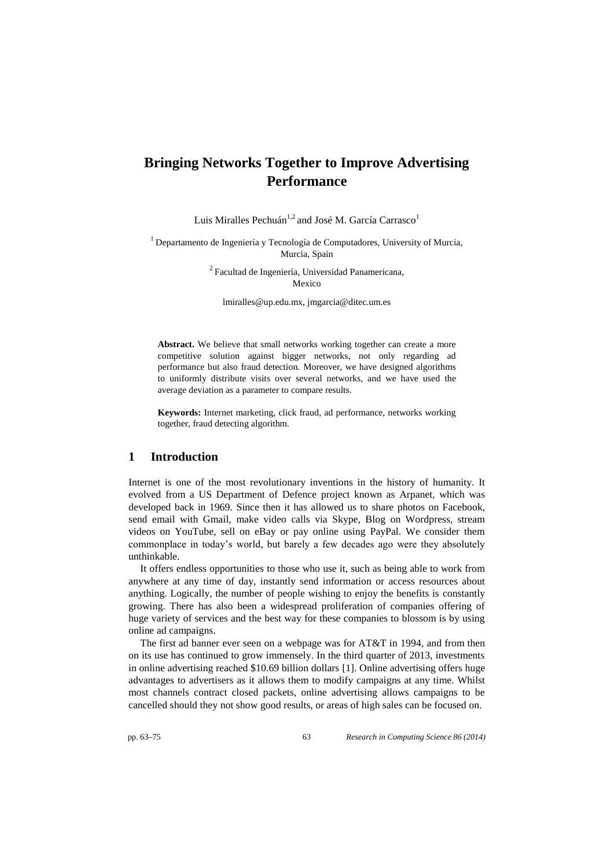# **Bringing Networks Together to Improve Advertising Performance**

Luis Miralles Pechuán $^{1,2}$  and José M. García Carrasco $^1$ 

 $<sup>1</sup>$  Departamento de Ingeniería y Tecnología de Computadores, University of Murcia,</sup> Murcia, Spain

> <sup>2</sup>Facultad de Ingeniería, Universidad Panamericana, Mexico

lmiralles@up.edu.mx, jmgarcia@ditec.um.es

Abstract. We believe that small networks working together can create a more competitive solution against bigger networks, not only regarding ad performance but also fraud detection. Moreover, we have designed algorithms to uniformly distribute visits over several networks, and we have used the average deviation as a parameter to compare results.

**Keywords:** Internet marketing, click fraud, ad performance, networks working together, fraud detecting algorithm.

# **1 Introduction**

Internet is one of the most revolutionary inventions in the history of humanity. It evolved from a US Department of Defence project known as Arpanet, which was developed back in 1969. Since then it has allowed us to share photos on Facebook, send email with Gmail, make video calls via Skype, Blog on Wordpress, stream videos on YouTube, sell on eBay or pay online using PayPal. We consider them commonplace in today's world, but barely a few decades ago were they absolutely unthinkable.

It offers endless opportunities to those who use it, such as being able to work from anywhere at any time of day, instantly send information or access resources about anything. Logically, the number of people wishing to enjoy the benefits is constantly growing. There has also been a widespread proliferation of companies offering of huge variety of services and the best way for these companies to blossom is by using online ad campaigns.

The first ad banner ever seen on a webpage was for AT&T in 1994, and from then on its use has continued to grow immensely. In the third quarter of 2013, investments in online advertising reached \$10.69 billion dollars [1]. Online advertising offers huge advantages to advertisers as it allows them to modify campaigns at any time. Whilst most channels contract closed packets, online advertising allows campaigns to be cancelled should they not show good results, or areas of high sales can be focused on.

pp. 63–75 63 *Research in Computing Science 86 (2014)*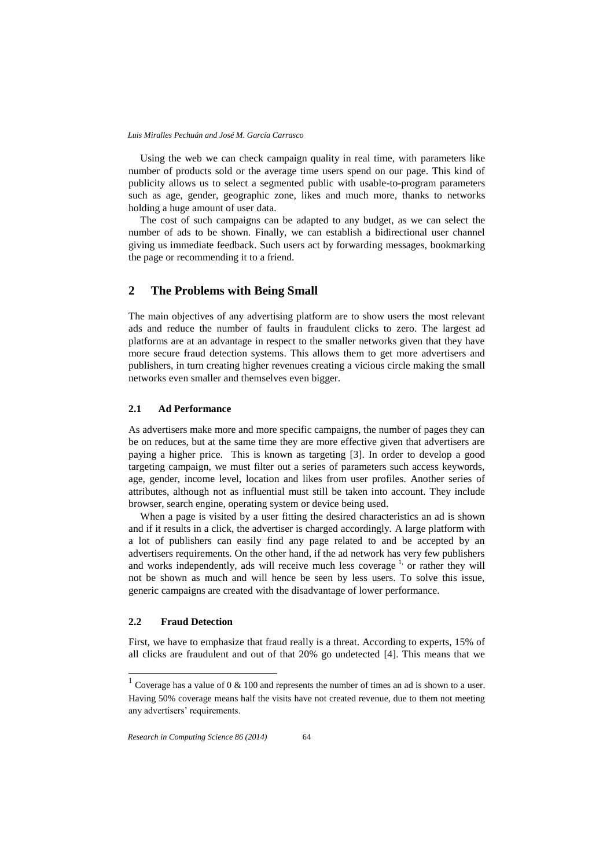Using the web we can check campaign quality in real time, with parameters like number of products sold or the average time users spend on our page. This kind of publicity allows us to select a segmented public with usable-to-program parameters such as age, gender, geographic zone, likes and much more, thanks to networks holding a huge amount of user data.

The cost of such campaigns can be adapted to any budget, as we can select the number of ads to be shown. Finally, we can establish a bidirectional user channel giving us immediate feedback. Such users act by forwarding messages, bookmarking the page or recommending it to a friend.

# **2 The Problems with Being Small**

The main objectives of any advertising platform are to show users the most relevant ads and reduce the number of faults in fraudulent clicks to zero. The largest ad platforms are at an advantage in respect to the smaller networks given that they have more secure fraud detection systems. This allows them to get more advertisers and publishers, in turn creating higher revenues creating a vicious circle making the small networks even smaller and themselves even bigger.

### **2.1 Ad Performance**

As advertisers make more and more specific campaigns, the number of pages they can be on reduces, but at the same time they are more effective given that advertisers are paying a higher price. This is known as targeting [3]. In order to develop a good targeting campaign, we must filter out a series of parameters such access keywords, age, gender, income level, location and likes from user profiles. Another series of attributes, although not as influential must still be taken into account. They include browser, search engine, operating system or device being used.

When a page is visited by a user fitting the desired characteristics an ad is shown and if it results in a click, the advertiser is charged accordingly. A large platform with a lot of publishers can easily find any page related to and be accepted by an advertisers requirements. On the other hand, if the ad network has very few publishers and works independently, ads will receive much less coverage<sup>1,</sup> or rather they will not be shown as much and will hence be seen by less users. To solve this issue, generic campaigns are created with the disadvantage of lower performance.

#### **2.2 Fraud Detection**

 $\overline{a}$ 

First, we have to emphasize that fraud really is a threat. According to experts, 15% of all clicks are fraudulent and out of that 20% go undetected [4]. This means that we

<sup>&</sup>lt;sup>1</sup> Coverage has a value of 0  $\&$  100 and represents the number of times an ad is shown to a user. Having 50% coverage means half the visits have not created revenue, due to them not meeting any advertisers' requirements.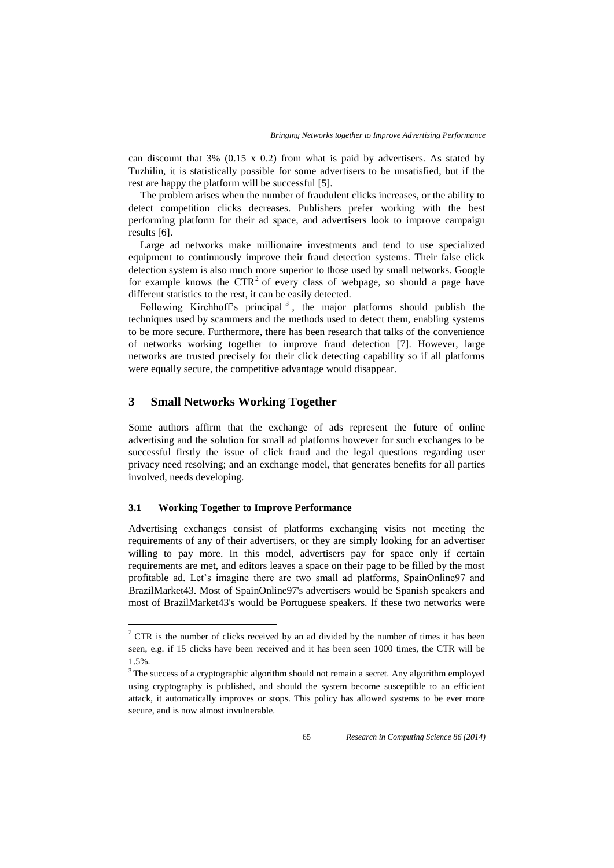can discount that  $3\%$  (0.15 x 0.2) from what is paid by advertisers. As stated by Tuzhilin, it is statistically possible for some advertisers to be unsatisfied, but if the rest are happy the platform will be successful [5].

The problem arises when the number of fraudulent clicks increases, or the ability to detect competition clicks decreases. Publishers prefer working with the best performing platform for their ad space, and advertisers look to improve campaign results [6].

Large ad networks make millionaire investments and tend to use specialized equipment to continuously improve their fraud detection systems. Their false click detection system is also much more superior to those used by small networks. Google for example knows the  $CTR<sup>2</sup>$  of every class of webpage, so should a page have different statistics to the rest, it can be easily detected.

Following Kirchhoff's principal<sup>3</sup>, the major platforms should publish the techniques used by scammers and the methods used to detect them, enabling systems to be more secure. Furthermore, there has been research that talks of the convenience of networks working together to improve fraud detection [7]. However, large networks are trusted precisely for their click detecting capability so if all platforms were equally secure, the competitive advantage would disappear.

# **3 Small Networks Working Together**

Some authors affirm that the exchange of ads represent the future of online advertising and the solution for small ad platforms however for such exchanges to be successful firstly the issue of click fraud and the legal questions regarding user privacy need resolving; and an exchange model, that generates benefits for all parties involved, needs developing.

#### **3.1 Working Together to Improve Performance**

l

Advertising exchanges consist of platforms exchanging visits not meeting the requirements of any of their advertisers, or they are simply looking for an advertiser willing to pay more. In this model, advertisers pay for space only if certain requirements are met, and editors leaves a space on their page to be filled by the most profitable ad. Let's imagine there are two small ad platforms, SpainOnline97 and BrazilMarket43. Most of SpainOnline97's advertisers would be Spanish speakers and most of BrazilMarket43's would be Portuguese speakers. If these two networks were

 $2^2$  CTR is the number of clicks received by an ad divided by the number of times it has been seen, e.g. if 15 clicks have been received and it has been seen 1000 times, the CTR will be 1.5%.

<sup>&</sup>lt;sup>3</sup> The success of a cryptographic algorithm should not remain a secret. Any algorithm employed using cryptography is published, and should the system become susceptible to an efficient attack, it automatically improves or stops. This policy has allowed systems to be ever more secure, and is now almost invulnerable.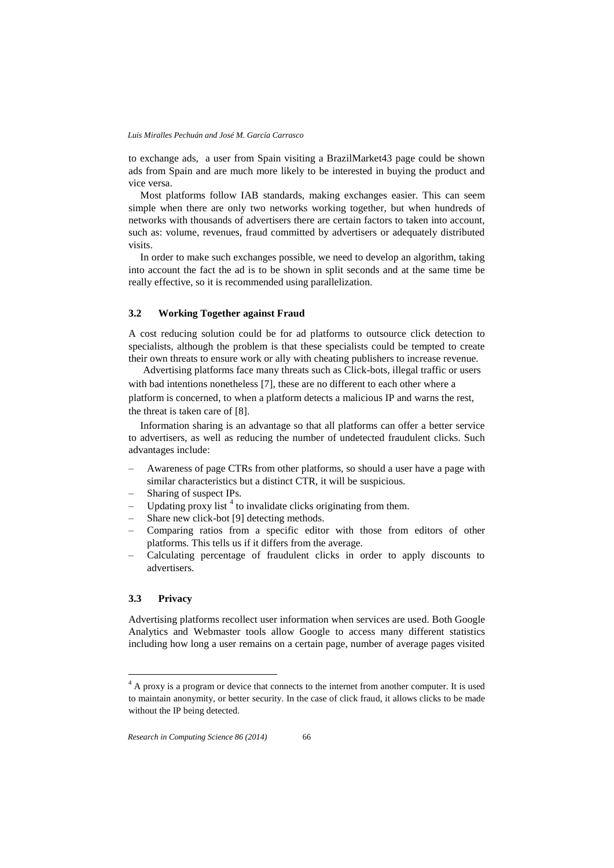to exchange ads, a user from Spain visiting a BrazilMarket43 page could be shown ads from Spain and are much more likely to be interested in buying the product and vice versa.

Most platforms follow IAB standards, making exchanges easier. This can seem simple when there are only two networks working together, but when hundreds of networks with thousands of advertisers there are certain factors to taken into account, such as: volume, revenues, fraud committed by advertisers or adequately distributed visits.

In order to make such exchanges possible, we need to develop an algorithm, taking into account the fact the ad is to be shown in split seconds and at the same time be really effective, so it is recommended using parallelization.

### **3.2 Working Together against Fraud**

A cost reducing solution could be for ad platforms to outsource click detection to specialists, although the problem is that these specialists could be tempted to create their own threats to ensure work or ally with cheating publishers to increase revenue.

Advertising platforms face many threats such as Click-bots, illegal traffic or users with bad intentions nonetheless [7], these are no different to each other where a platform is concerned, to when a platform detects a malicious IP and warns the rest, the threat is taken care of [8].

Information sharing is an advantage so that all platforms can offer a better service to advertisers, as well as reducing the number of undetected fraudulent clicks. Such advantages include:

- Awareness of page CTRs from other platforms, so should a user have a page with similar characteristics but a distinct CTR, it will be suspicious.
- Sharing of suspect IPs.
- $-$  Updating proxy list<sup>4</sup> to invalidate clicks originating from them.
- Share new click-bot [9] detecting methods.
- Comparing ratios from a specific editor with those from editors of other platforms. This tells us if it differs from the average.
- Calculating percentage of fraudulent clicks in order to apply discounts to advertisers.

### **3.3 Privacy**

l

Advertising platforms recollect user information when services are used. Both Google Analytics and Webmaster tools allow Google to access many different statistics including how long a user remains on a certain page, number of average pages visited

<sup>&</sup>lt;sup>4</sup> A proxy is a program or device that connects to the internet from another computer. It is used to maintain anonymity, or better security. In the case of click fraud, it allows clicks to be made without the IP being detected.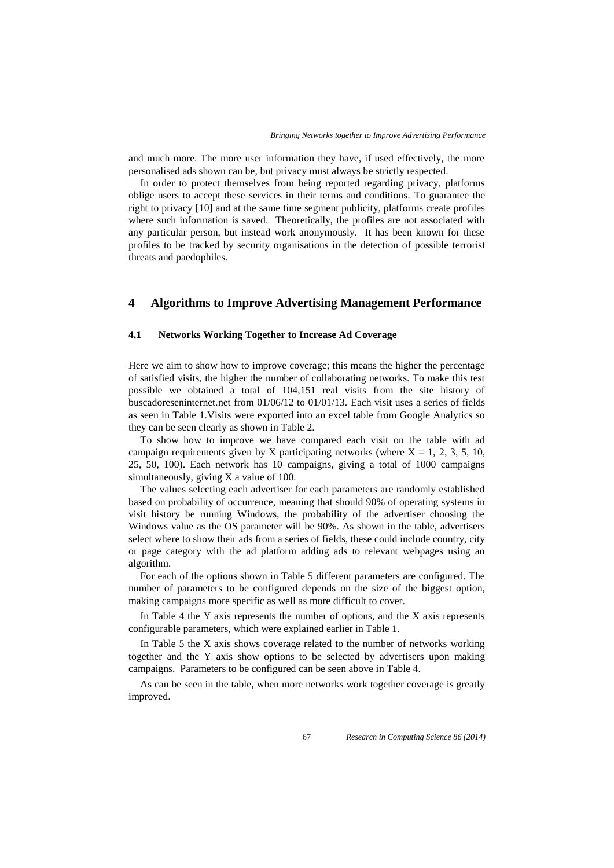and much more. The more user information they have, if used effectively, the more personalised ads shown can be, but privacy must always be strictly respected.

In order to protect themselves from being reported regarding privacy, platforms oblige users to accept these services in their terms and conditions. To guarantee the right to privacy [10] and at the same time segment publicity, platforms create profiles where such information is saved. Theoretically, the profiles are not associated with any particular person, but instead work anonymously. It has been known for these profiles to be tracked by security organisations in the detection of possible terrorist threats and paedophiles.

# **4 Algorithms to Improve Advertising Management Performance**

### **4.1 Networks Working Together to Increase Ad Coverage**

Here we aim to show how to improve coverage; this means the higher the percentage of satisfied visits, the higher the number of collaborating networks. To make this test possible we obtained a total of 104,151 real visits from the site history of buscadoreseninternet.net from 01/06/12 to 01/01/13. Each visit uses a series of fields as seen in Table 1.Visits were exported into an excel table from Google Analytics so they can be seen clearly as shown in Table 2.

To show how to improve we have compared each visit on the table with ad campaign requirements given by X participating networks (where  $X = 1, 2, 3, 5, 10$ , 25, 50, 100). Each network has 10 campaigns, giving a total of 1000 campaigns simultaneously, giving X a value of 100.

The values selecting each advertiser for each parameters are randomly established based on probability of occurrence, meaning that should 90% of operating systems in visit history be running Windows, the probability of the advertiser choosing the Windows value as the OS parameter will be 90%. As shown in the table, advertisers select where to show their ads from a series of fields, these could include country, city or page category with the ad platform adding ads to relevant webpages using an algorithm.

For each of the options shown in Table 5 different parameters are configured. The number of parameters to be configured depends on the size of the biggest option, making campaigns more specific as well as more difficult to cover.

In Table 4 the Y axis represents the number of options, and the X axis represents configurable parameters, which were explained earlier in Table 1.

In Table 5 the X axis shows coverage related to the number of networks working together and the Y axis show options to be selected by advertisers upon making campaigns. Parameters to be configured can be seen above in Table 4.

As can be seen in the table, when more networks work together coverage is greatly improved.

67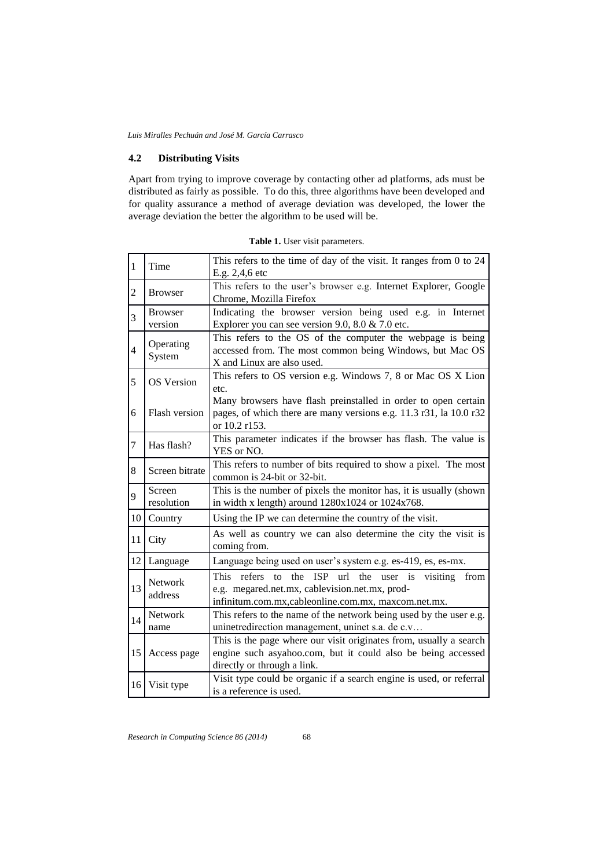### **4.2 Distributing Visits**

Apart from trying to improve coverage by contacting other ad platforms, ads must be distributed as fairly as possible. To do this, three algorithms have been developed and for quality assurance a method of average deviation was developed, the lower the average deviation the better the algorithm to be used will be.

| $\vert$ 1        | Time                      | This refers to the time of day of the visit. It ranges from 0 to 24<br>E.g. 2,4,6 etc                                                                                                                            |
|------------------|---------------------------|------------------------------------------------------------------------------------------------------------------------------------------------------------------------------------------------------------------|
| $\overline{2}$   | <b>Browser</b>            | This refers to the user's browser e.g. Internet Explorer, Google<br>Chrome, Mozilla Firefox                                                                                                                      |
| 3                | <b>Browser</b><br>version | Indicating the browser version being used e.g. in Internet<br>Explorer you can see version 9.0, 8.0 $& 7.0$ etc.                                                                                                 |
| $\overline{4}$   | Operating<br>System       | This refers to the OS of the computer the webpage is being<br>accessed from. The most common being Windows, but Mac OS<br>X and Linux are also used.                                                             |
| 5                | <b>OS</b> Version         | This refers to OS version e.g. Windows 7, 8 or Mac OS X Lion<br>etc.                                                                                                                                             |
| 6                | Flash version             | Many browsers have flash preinstalled in order to open certain<br>pages, of which there are many versions e.g. 11.3 r31, la 10.0 r32<br>or 10.2 r153.                                                            |
| $\boldsymbol{7}$ | Has flash?                | This parameter indicates if the browser has flash. The value is<br>YES or NO.                                                                                                                                    |
| 8                | Screen bitrate            | This refers to number of bits required to show a pixel. The most<br>common is 24-bit or 32-bit.                                                                                                                  |
| 9                | Screen<br>resolution      | This is the number of pixels the monitor has, it is usually (shown<br>in width x length) around $1280x1024$ or $1024x768$ .                                                                                      |
| 10               | Country                   | Using the IP we can determine the country of the visit.                                                                                                                                                          |
| 11               | City                      | As well as country we can also determine the city the visit is<br>coming from.                                                                                                                                   |
| 12               | Language                  | Language being used on user's system e.g. es-419, es, es-mx.                                                                                                                                                     |
| 13               | Network<br>address        | the<br><b>ISP</b><br><b>This</b><br>refers<br>url<br>the<br>$\mathbf{t}$<br>visiting<br>from<br>user is<br>e.g. megared.net.mx, cablevision.net.mx, prod-<br>infinitum.com.mx,cableonline.com.mx, maxcom.net.mx. |
| 14               | Network<br>name           | This refers to the name of the network being used by the user e.g.<br>uninetredirection management, uninet s.a. de c.v                                                                                           |
| 15               | Access page               | This is the page where our visit originates from, usually a search<br>engine such asyahoo.com, but it could also be being accessed<br>directly or through a link.                                                |
| 16               | Visit type                | Visit type could be organic if a search engine is used, or referral<br>is a reference is used.                                                                                                                   |

**Table 1.** User visit parameters.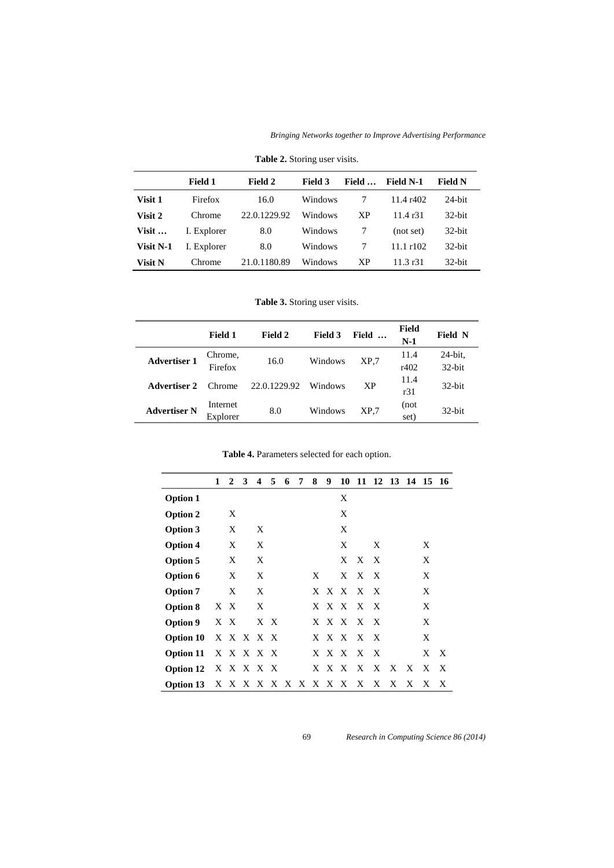*Bringing Networks together to Improve Advertising Performance*

|                | <b>Field 1</b> | Field 2      | Field 3 | Field     | <b>Field N-1</b> | <b>Field N</b> |
|----------------|----------------|--------------|---------|-----------|------------------|----------------|
| Visit 1        | Firefox        | 16.0         | Windows | 7         | 11.4 r402        | $24$ -bit      |
| Visit 2        | Chrome         | 22.0.1229.92 | Windows | <b>XP</b> | 11.4 r31         | $32$ -bit      |
| Visit $\ldots$ | I. Explorer    | 8.0          | Windows |           | (not set)        | $32$ -bit      |
| Visit N-1      | I. Explorer    | 8.0          | Windows |           | $11.1$ r $102.$  | $32$ -bit      |
| <b>Visit N</b> | Chrome         | 21.0.1180.89 | Windows | <b>XP</b> | 11.3 r31         | $32$ -bit      |

**Table 2.** Storing user visits.

**Table 3.** Storing user visits.

|                     | <b>Field 1</b>       | Field 2      | <b>Field 3</b> | Field           | Field<br>$N-1$ | <b>Field N</b>    |
|---------------------|----------------------|--------------|----------------|-----------------|----------------|-------------------|
| <b>Advertiser 1</b> | Chrome,<br>Firefox   | 16.0         | Windows        | XP.7            | 11.4<br>r402   | 24-bit,<br>32-bit |
| Advertiser 2        | Chrome.              | 22.0.1229.92 | Windows        | XP              | 11.4<br>r31    | $32$ -bit         |
| <b>Advertiser N</b> | Internet<br>Explorer | 8.0          | Windows        | XP <sub>1</sub> | (not<br>set)   | $32$ -bit         |

**Table 4.** Parameters selected for each option.

|                       | 1 | 2   | 3 | 4         | 5   | 6 | 7 | 8 | 9                   | 10    |           | 11 12 13 14 15 16 |   |   |     |   |
|-----------------------|---|-----|---|-----------|-----|---|---|---|---------------------|-------|-----------|-------------------|---|---|-----|---|
| <b>Option 1</b>       |   |     |   |           |     |   |   |   |                     | Χ     |           |                   |   |   |     |   |
| <b>Option 2</b>       |   | X   |   |           |     |   |   |   |                     | X     |           |                   |   |   |     |   |
| Option 3              |   | X   |   | X         |     |   |   |   |                     | X     |           |                   |   |   |     |   |
| <b>Option 4</b>       |   | X   |   | X         |     |   |   |   |                     | X     |           | X                 |   |   | X   |   |
| Option 5              |   | X   |   | X         |     |   |   |   |                     | X     | X X       |                   |   |   | X   |   |
| Option 6              |   | X   |   | X         |     |   |   | X |                     | X     | X X       |                   |   |   | X   |   |
| <b>Option 7</b>       |   | X   |   | X         |     |   |   |   |                     |       | X X X X X |                   |   |   | X   |   |
| <b>Option 8</b>       |   | X X |   | X         |     |   |   |   |                     | X X X | X X       |                   |   |   | X   |   |
| Option 9              |   | X X |   |           | X X |   |   |   |                     | X X X | X X       |                   |   |   | X   |   |
| Option 10             |   |     |   | X X X X X |     |   |   |   |                     | X X X | X X       |                   |   |   | X   |   |
| Option 11 X X X X X   |   |     |   |           |     |   |   |   |                     | X X X | X X       |                   |   |   | X X |   |
| Option 12 $X X X X X$ |   |     |   |           |     |   |   |   | X X X               |       | X         | X                 | X | X | X   | X |
| Option 13             |   |     |   |           |     |   |   |   | X X X X X X X X X X |       | X         | X                 | X | X | X   | X |

69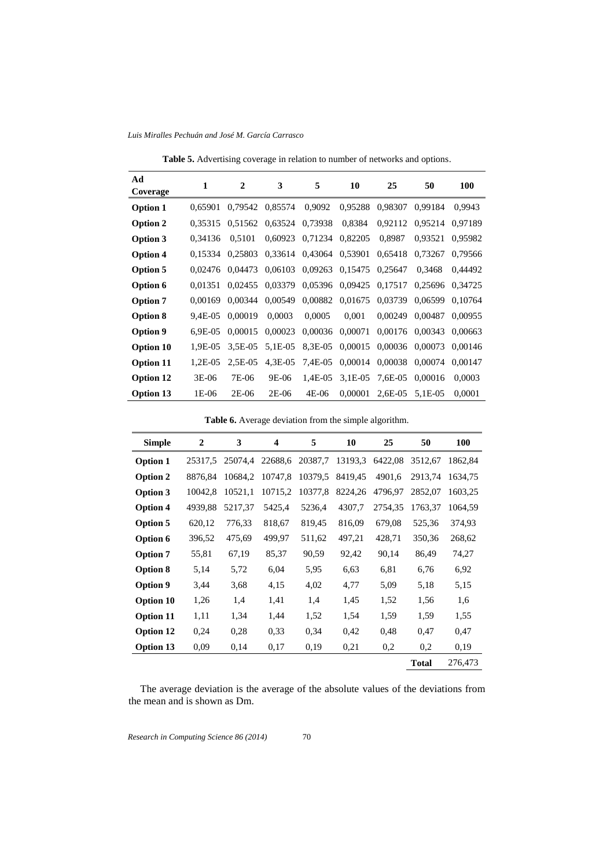*Luis Miralles Pechuán and José M. García Carrasco*

**Table 5.** Advertising coverage in relation to number of networks and options.

| Ad<br>Coverage   | 1          | $\mathbf{2}$ | 3          | 5       | 10        | 25        | 50      | 100     |
|------------------|------------|--------------|------------|---------|-----------|-----------|---------|---------|
| Option 1         | 0.65901    | 0.79542      | 0,85574    | 0,9092  | 0,95288   | 0.98307   | 0.99184 | 0.9943  |
| Option 2         | 0.35315    | 0.51562      | 0,63524    | 0,73938 | 0,8384    | 0.92112   | 0.95214 | 0.97189 |
| Option 3         | 0.34136    | 0,5101       | 0,60923    | 0,71234 | 0,82205   | 0,8987    | 0,93521 | 0,95982 |
| <b>Option 4</b>  | 0.15334    | 0.25803      | 0,33614    | 0,43064 | 0,53901   | 0,65418   | 0.73267 | 0.79566 |
| Option 5         | 0.02476    | 0.04473      | 0,06103    | 0,09263 | 0,15475   | 0,25647   | 0,3468  | 0.44492 |
| Option 6         | 0.01351    | 0.02455      | 0.03379    | 0,05396 | 0.09425   | 0,17517   | 0,25696 | 0.34725 |
| <b>Option 7</b>  | 0.00169    | 0.00344      | 0,00549    | 0,00882 | 0,01675   | 0,03739   | 0,06599 | 0.10764 |
| <b>Option 8</b>  | 9.4E-05    | 0,00019      | 0,0003     | 0,0005  | 0,001     | 0,00249   | 0,00487 | 0.00955 |
| Option 9         | $6.9E-0.5$ | 0.00015      | 0,00023    | 0,00036 | 0,00071   | 0,00176   | 0,00343 | 0.00663 |
| <b>Option 10</b> | 1.9E-05    | $3.5E-0.5$   | 5.1E-05    | 8,3E-05 | 0,00015   | 0,00036   | 0,00073 | 0.00146 |
| <b>Option 11</b> | 1.2E-05    | $2.5E-0.5$   | $4.3E-0.5$ | 7.4E-05 | 0,00014   | 0,00038   | 0,00074 | 0.00147 |
| <b>Option 12</b> | 3E-06      | 7E-06        | 9E-06      | 1.4E-05 | $3.1E-05$ | 7,6E-05   | 0,00016 | 0.0003  |
| <b>Option 13</b> | 1E-06      | 2E-06        | 2E-06      | 4E-06   | 0.00001   | $2,6E-05$ | 5,1E-05 | 0,0001  |

**Table 6.** Average deviation from the simple algorithm.

| <b>Simple</b>    | $\overline{2}$ | 3       | 4       | 5       | 10      | 25      | 50           | 100     |
|------------------|----------------|---------|---------|---------|---------|---------|--------------|---------|
| <b>Option 1</b>  | 25317,5        | 25074,4 | 22688,6 | 20387,7 | 13193,3 | 6422,08 | 3512,67      | 1862,84 |
| <b>Option 2</b>  | 8876,84        | 10684,2 | 10747,8 | 10379,5 | 8419,45 | 4901,6  | 2913,74      | 1634,75 |
| Option 3         | 10042,8        | 10521,1 | 10715,2 | 10377,8 | 8224,26 | 4796,97 | 2852,07      | 1603,25 |
| <b>Option 4</b>  | 4939,88        | 5217,37 | 5425,4  | 5236,4  | 4307,7  | 2754,35 | 1763,37      | 1064,59 |
| <b>Option 5</b>  | 620,12         | 776,33  | 818,67  | 819,45  | 816,09  | 679,08  | 525,36       | 374,93  |
| Option 6         | 396,52         | 475,69  | 499,97  | 511,62  | 497,21  | 428,71  | 350,36       | 268,62  |
| <b>Option 7</b>  | 55,81          | 67,19   | 85,37   | 90,59   | 92,42   | 90,14   | 86,49        | 74,27   |
| Option 8         | 5,14           | 5,72    | 6,04    | 5,95    | 6,63    | 6,81    | 6,76         | 6,92    |
| Option 9         | 3,44           | 3,68    | 4,15    | 4,02    | 4,77    | 5,09    | 5,18         | 5,15    |
| <b>Option 10</b> | 1,26           | 1,4     | 1,41    | 1,4     | 1,45    | 1,52    | 1,56         | 1,6     |
| <b>Option 11</b> | 1,11           | 1,34    | 1,44    | 1,52    | 1,54    | 1,59    | 1,59         | 1,55    |
| <b>Option 12</b> | 0,24           | 0,28    | 0,33    | 0.34    | 0.42    | 0.48    | 0,47         | 0,47    |
| <b>Option 13</b> | 0,09           | 0,14    | 0,17    | 0.19    | 0,21    | 0,2     | 0,2          | 0.19    |
|                  |                |         |         |         |         |         | <b>Total</b> | 276,473 |

The average deviation is the average of the absolute values of the deviations from the mean and is shown as Dm.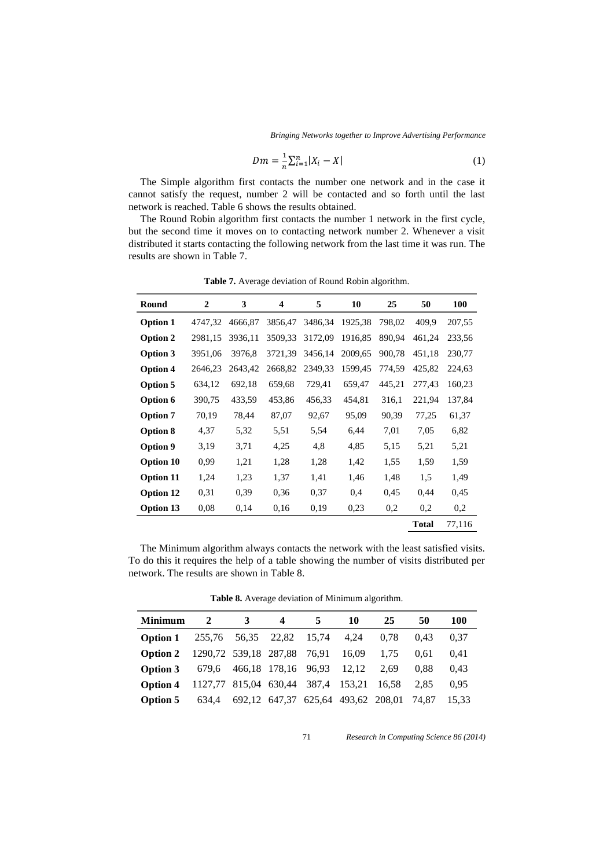*Bringing Networks together to Improve Advertising Performance*

$$
Dm = \frac{1}{n} \sum_{i=1}^{n} |X_i - X|
$$
\n(1)

The Simple algorithm first contacts the number one network and in the case it cannot satisfy the request, number 2 will be contacted and so forth until the last network is reached. Table 6 shows the results obtained.

The Round Robin algorithm first contacts the number 1 network in the first cycle, but the second time it moves on to contacting network number 2. Whenever a visit distributed it starts contacting the following network from the last time it was run. The results are shown in Table 7.

| Round            | $\mathbf{2}$ | 3       | 4       | 5       | 10      | 25     | 50           | 100    |
|------------------|--------------|---------|---------|---------|---------|--------|--------------|--------|
| <b>Option 1</b>  | 4747,32      | 4666,87 | 3856,47 | 3486,34 | 1925,38 | 798,02 | 409.9        | 207,55 |
| <b>Option 2</b>  | 2981,15      | 3936,11 | 3509,33 | 3172,09 | 1916,85 | 890,94 | 461,24       | 233,56 |
| Option 3         | 3951,06      | 3976,8  | 3721,39 | 3456,14 | 2009,65 | 900,78 | 451,18       | 230,77 |
| <b>Option 4</b>  | 2646,23      | 2643,42 | 2668,82 | 2349,33 | 1599,45 | 774,59 | 425,82       | 224,63 |
| <b>Option 5</b>  | 634,12       | 692,18  | 659,68  | 729,41  | 659,47  | 445,21 | 277,43       | 160,23 |
| Option 6         | 390,75       | 433,59  | 453,86  | 456,33  | 454,81  | 316,1  | 221,94       | 137,84 |
| <b>Option 7</b>  | 70,19        | 78,44   | 87,07   | 92,67   | 95,09   | 90,39  | 77,25        | 61,37  |
| <b>Option 8</b>  | 4,37         | 5,32    | 5,51    | 5.54    | 6,44    | 7,01   | 7,05         | 6,82   |
| <b>Option 9</b>  | 3,19         | 3,71    | 4,25    | 4,8     | 4,85    | 5,15   | 5,21         | 5,21   |
| <b>Option 10</b> | 0.99         | 1,21    | 1,28    | 1,28    | 1,42    | 1,55   | 1,59         | 1,59   |
| <b>Option 11</b> | 1,24         | 1,23    | 1,37    | 1,41    | 1,46    | 1,48   | 1,5          | 1,49   |
| <b>Option 12</b> | 0,31         | 0,39    | 0.36    | 0,37    | 0,4     | 0.45   | 0.44         | 0.45   |
| <b>Option 13</b> | 0.08         | 0,14    | 0,16    | 0.19    | 0,23    | 0,2    | 0,2          | 0,2    |
|                  |              |         |         |         |         |        | <b>Total</b> | 77,116 |

**Table 7.** Average deviation of Round Robin algorithm.

The Minimum algorithm always contacts the network with the least satisfied visits. To do this it requires the help of a table showing the number of visits distributed per network. The results are shown in Table 8.

**Table 8.** Average deviation of Minimum algorithm.

| <b>Minimum</b>                                         | 2                                        | 3 | 4 | 5. | 10 | 25                                             | 50   | 100   |
|--------------------------------------------------------|------------------------------------------|---|---|----|----|------------------------------------------------|------|-------|
| <b>Option 1</b> 255,76 56,35 22,82 15,74 4,24          |                                          |   |   |    |    | 0.78                                           | 0.43 | 0.37  |
| <b>Option 2</b> 1290,72 539,18 287,88 76,91 16,09 1,75 |                                          |   |   |    |    |                                                | 0.61 | 0.41  |
| <b>Option 3</b> 679.6 466.18 178.16 96.93 12.12 2.69   |                                          |   |   |    |    |                                                | 0.88 | 0.43  |
| Option 4                                               | 1127,77 815,04 630,44 387,4 153,21 16,58 |   |   |    |    |                                                | 2.85 | 0.95  |
| Option 5                                               |                                          |   |   |    |    | 634,4 692,12 647,37 625,64 493,62 208,01 74,87 |      | 15.33 |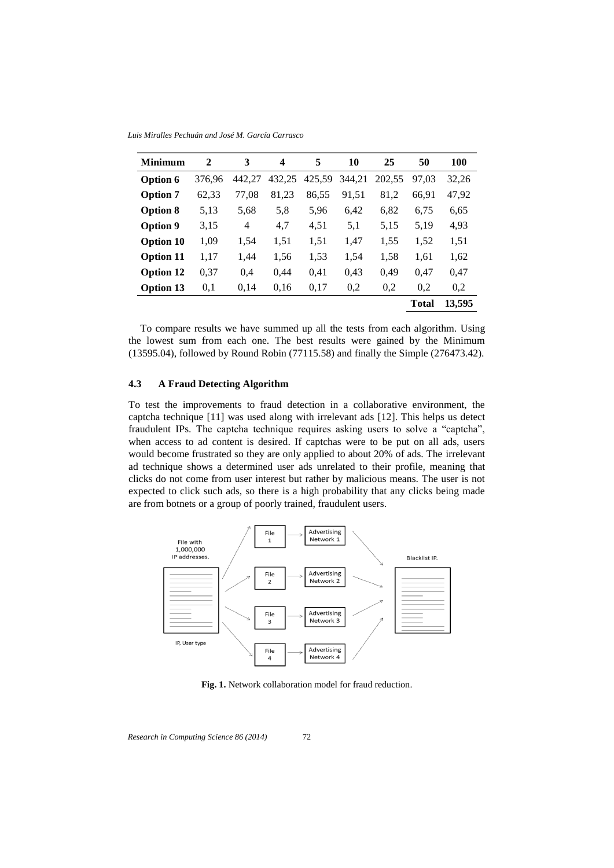*Luis Miralles Pechuán and José M. García Carrasco*

| <b>Minimum</b>   | $\mathbf{2}$ | 3      | 4      | 5      | 10     | 25     | 50           | <b>100</b> |
|------------------|--------------|--------|--------|--------|--------|--------|--------------|------------|
| Option 6         | 376.96       | 442,27 | 432,25 | 425,59 | 344,21 | 202,55 | 97.03        | 32,26      |
| <b>Option 7</b>  | 62,33        | 77,08  | 81,23  | 86,55  | 91,51  | 81,2   | 66,91        | 47,92      |
| <b>Option 8</b>  | 5,13         | 5,68   | 5,8    | 5,96   | 6,42   | 6,82   | 6,75         | 6,65       |
| Option 9         | 3,15         | 4      | 4,7    | 4,51   | 5,1    | 5,15   | 5,19         | 4,93       |
| <b>Option 10</b> | 1,09         | 1,54   | 1,51   | 1,51   | 1,47   | 1,55   | 1,52         | 1,51       |
| <b>Option 11</b> | 1,17         | 1,44   | 1,56   | 1,53   | 1,54   | 1,58   | 1,61         | 1,62       |
| <b>Option 12</b> | 0,37         | 0,4    | 0.44   | 0,41   | 0,43   | 0,49   | 0,47         | 0,47       |
| <b>Option 13</b> | 0,1          | 0,14   | 0.16   | 0,17   | 0,2    | 0,2    | 0,2          | 0,2        |
|                  |              |        |        |        |        |        | <b>Total</b> | 13,595     |

To compare results we have summed up all the tests from each algorithm. Using the lowest sum from each one. The best results were gained by the Minimum (13595.04), followed by Round Robin (77115.58) and finally the Simple (276473.42).

### **4.3 A Fraud Detecting Algorithm**

To test the improvements to fraud detection in a collaborative environment, the captcha technique [11] was used along with irrelevant ads [12]. This helps us detect fraudulent IPs. The captcha technique requires asking users to solve a "captcha", when access to ad content is desired. If captchas were to be put on all ads, users would become frustrated so they are only applied to about 20% of ads. The irrelevant ad technique shows a determined user ads unrelated to their profile, meaning that clicks do not come from user interest but rather by malicious means. The user is not expected to click such ads, so there is a high probability that any clicks being made are from botnets or a group of poorly trained, fraudulent users.



**Fig. 1.** Network collaboration model for fraud reduction.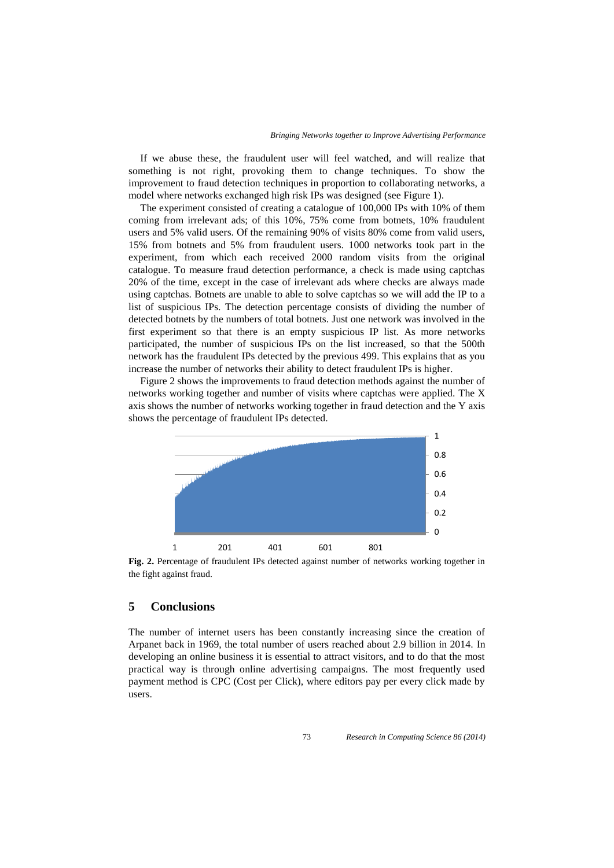If we abuse these, the fraudulent user will feel watched, and will realize that something is not right, provoking them to change techniques. To show the improvement to fraud detection techniques in proportion to collaborating networks, a model where networks exchanged high risk IPs was designed (see Figure 1).

The experiment consisted of creating a catalogue of 100,000 IPs with 10% of them coming from irrelevant ads; of this 10%, 75% come from botnets, 10% fraudulent users and 5% valid users. Of the remaining 90% of visits 80% come from valid users, 15% from botnets and 5% from fraudulent users. 1000 networks took part in the experiment, from which each received 2000 random visits from the original catalogue. To measure fraud detection performance, a check is made using captchas 20% of the time, except in the case of irrelevant ads where checks are always made using captchas. Botnets are unable to able to solve captchas so we will add the IP to a list of suspicious IPs. The detection percentage consists of dividing the number of detected botnets by the numbers of total botnets. Just one network was involved in the first experiment so that there is an empty suspicious IP list. As more networks participated, the number of suspicious IPs on the list increased, so that the 500th network has the fraudulent IPs detected by the previous 499. This explains that as you increase the number of networks their ability to detect fraudulent IPs is higher.

Figure 2 shows the improvements to fraud detection methods against the number of networks working together and number of visits where captchas were applied. The X axis shows the number of networks working together in fraud detection and the Y axis shows the percentage of fraudulent IPs detected.



**Fig. 2.** Percentage of fraudulent IPs detected against number of networks working together in the fight against fraud.

# **5 Conclusions**

The number of internet users has been constantly increasing since the creation of Arpanet back in 1969, the total number of users reached about 2.9 billion in 2014. In developing an online business it is essential to attract visitors, and to do that the most practical way is through online advertising campaigns. The most frequently used payment method is CPC (Cost per Click), where editors pay per every click made by users.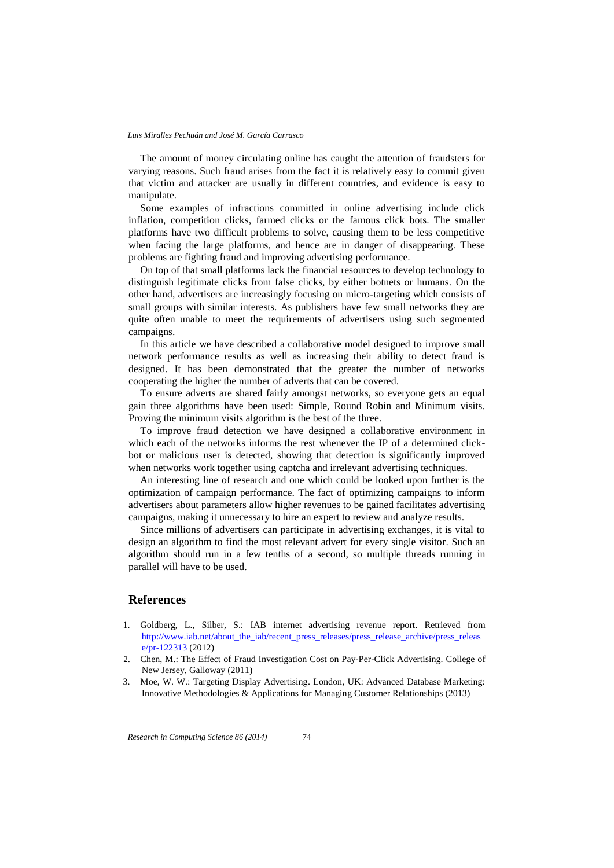The amount of money circulating online has caught the attention of fraudsters for varying reasons. Such fraud arises from the fact it is relatively easy to commit given that victim and attacker are usually in different countries, and evidence is easy to manipulate.

Some examples of infractions committed in online advertising include click inflation, competition clicks, farmed clicks or the famous click bots. The smaller platforms have two difficult problems to solve, causing them to be less competitive when facing the large platforms, and hence are in danger of disappearing. These problems are fighting fraud and improving advertising performance.

On top of that small platforms lack the financial resources to develop technology to distinguish legitimate clicks from false clicks, by either botnets or humans. On the other hand, advertisers are increasingly focusing on micro-targeting which consists of small groups with similar interests. As publishers have few small networks they are quite often unable to meet the requirements of advertisers using such segmented campaigns.

In this article we have described a collaborative model designed to improve small network performance results as well as increasing their ability to detect fraud is designed. It has been demonstrated that the greater the number of networks cooperating the higher the number of adverts that can be covered.

To ensure adverts are shared fairly amongst networks, so everyone gets an equal gain three algorithms have been used: Simple, Round Robin and Minimum visits. Proving the minimum visits algorithm is the best of the three.

To improve fraud detection we have designed a collaborative environment in which each of the networks informs the rest whenever the IP of a determined clickbot or malicious user is detected, showing that detection is significantly improved when networks work together using captcha and irrelevant advertising techniques.

An interesting line of research and one which could be looked upon further is the optimization of campaign performance. The fact of optimizing campaigns to inform advertisers about parameters allow higher revenues to be gained facilitates advertising campaigns, making it unnecessary to hire an expert to review and analyze results.

Since millions of advertisers can participate in advertising exchanges, it is vital to design an algorithm to find the most relevant advert for every single visitor. Such an algorithm should run in a few tenths of a second, so multiple threads running in parallel will have to be used.

### **References**

- 1. Goldberg, L., Silber, S.: IAB internet advertising revenue report. Retrieved from http://www.iab.net/about\_the\_iab/recent\_press\_releases/press\_release\_archive/press\_releas e/pr-122313 (2012)
- 2. Chen, M.: The Effect of Fraud Investigation Cost on Pay-Per-Click Advertising. College of New Jersey, Galloway (2011)
- 3. Moe, W. W.: Targeting Display Advertising. London, UK: Advanced Database Marketing: Innovative Methodologies & Applications for Managing Customer Relationships (2013)